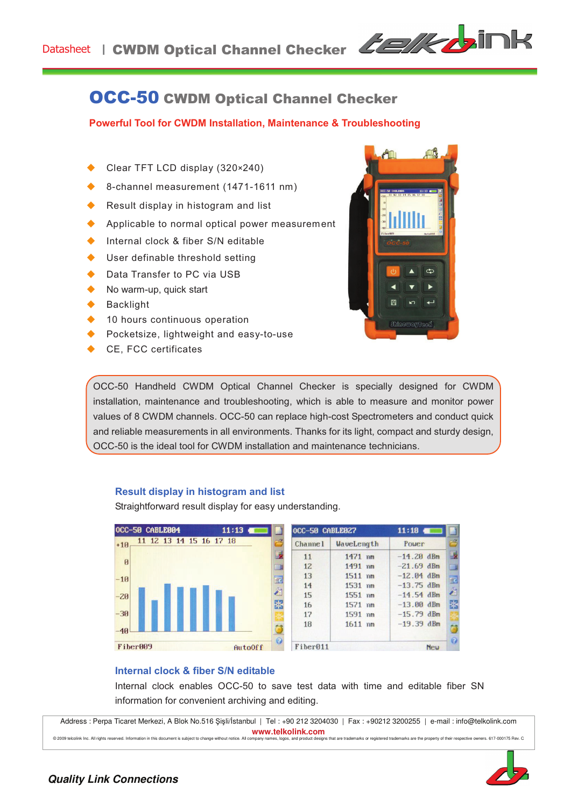

# OCC-50 CWDM Optical Channel Checker

**Powerful Tool for CWDM Installation, Maintenance & Troubleshooting** 

- Clear TFT LCD display (320×240)
- 8-channel measurement (1471-1611 nm)
- Result display in histogram and list
- $\blacklozenge$  Applicable to normal optical power measurement
- $\bullet$  Internal clock & fiber S/N editable
- User definable threshold setting
- Data Transfer to PC via USB
- No warm-up, quick start
- **Backlight**
- 10 hours continuous operation
- $\blacklozenge$  Pocketsize, lightweight and easy-to-use
- CE, FCC certificates



OCC-50 Handheld CWDM Optical Channel Checker is specially designed for CWDM installation, maintenance and troubleshooting, which is able to measure and monitor power values of 8 CWDM channels. OCC-50 can replace high-cost Spectrometers and conduct quick and reliable measurements in all environments. Thanks for its light, compact and sturdy design, OCC-50 is the ideal tool for CWDM installation and maintenance technicians.

#### **Result display in histogram and list**

Straightforward result display for easy understanding.



| OCC-50 CABLE027 |            | 11:18        |
|-----------------|------------|--------------|
| Channe 1        | WaveLength | Pouer        |
| 11              | 1471 nm    | $-14.20$ dBm |
| 12              | 1491 nm    | $-21.69$ dBm |
| 13              | $1511$ nm  | $-12.04$ dBm |
| 14              | 1531 nm    | $-13.75$ dBm |
| 15              | 1551 nm    | $-14.54$ dBm |
| 16              | 1571 nm    | $-13.00$ dBm |
| 17              | 1591 nm    | $-15.79$ dBm |
| 18              | $1611$ nm  | $-19.39$ dBm |
| Fiber011        |            | <b>Neu</b>   |

#### **Internal clock & fiber S/N editable**

Internal clock enables OCC-50 to save test data with time and editable fiber SN information for convenient archiving and editing.

Address : Perpa Ticaret Merkezi, A Blok No.516 Şişli/İstanbul | Tel : +90 212 3204030 | Fax : +90212 3200255 | e-mail : info@telkolink.com **www.telkolink.com**<br>
nanany names longs, and product designs that are trademarks or registered trademarks are the property of their respective owners, 617-000175 Rev. C

© 2009 telcolink Inc. All rights reserved. Information in this document is subject to change without notice. All company pam